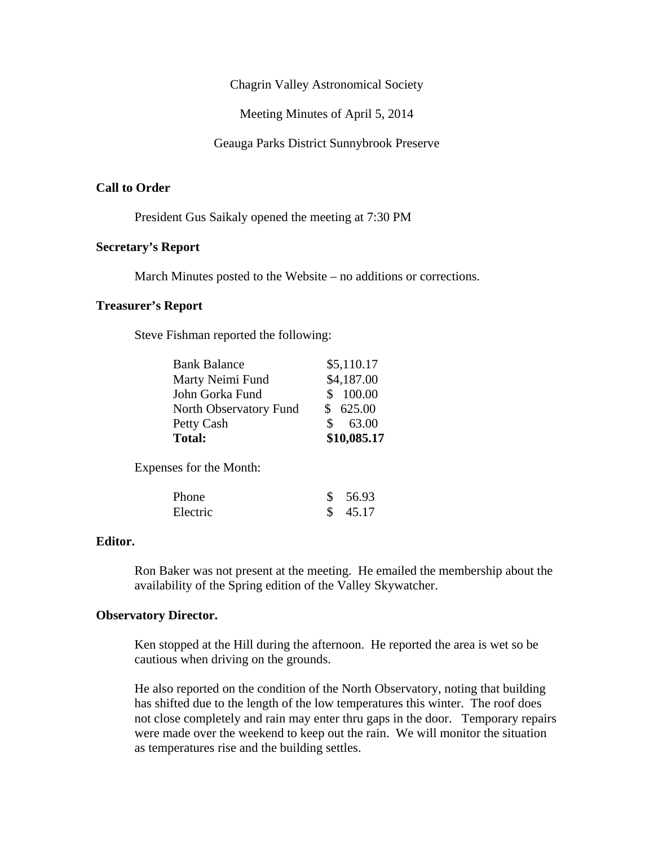Chagrin Valley Astronomical Society

Meeting Minutes of April 5, 2014

Geauga Parks District Sunnybrook Preserve

## **Call to Order**

President Gus Saikaly opened the meeting at 7:30 PM

# **Secretary's Report**

March Minutes posted to the Website – no additions or corrections.

## **Treasurer's Report**

Steve Fishman reported the following:

| <b>Bank Balance</b>    | \$5,110.17             |
|------------------------|------------------------|
| Marty Neimi Fund       | \$4,187.00             |
| John Gorka Fund        | \$ 100.00              |
| North Observatory Fund | \$625.00               |
| Petty Cash             | 63.00<br>$\mathcal{S}$ |
| <b>Total:</b>          | \$10,085.17            |

Expenses for the Month:

| Phone    | \$56.93 |
|----------|---------|
| Electric | \$45.17 |

#### **Editor.**

Ron Baker was not present at the meeting. He emailed the membership about the availability of the Spring edition of the Valley Skywatcher.

#### **Observatory Director.**

Ken stopped at the Hill during the afternoon. He reported the area is wet so be cautious when driving on the grounds.

He also reported on the condition of the North Observatory, noting that building has shifted due to the length of the low temperatures this winter. The roof does not close completely and rain may enter thru gaps in the door. Temporary repairs were made over the weekend to keep out the rain. We will monitor the situation as temperatures rise and the building settles.